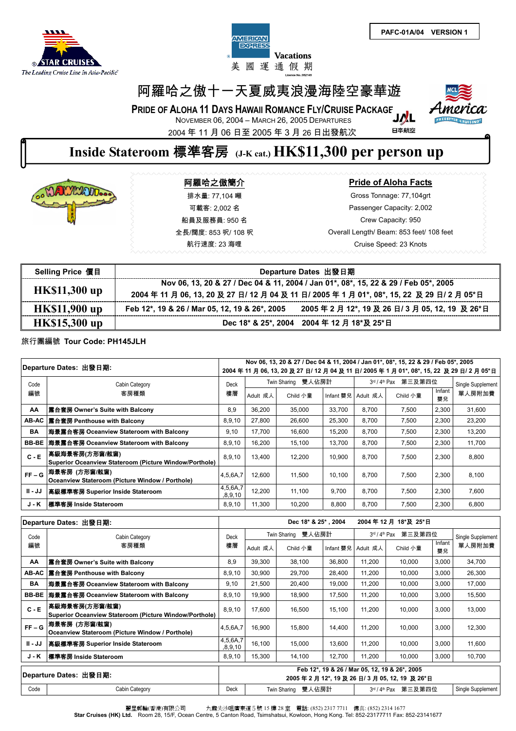



## 阿羅哈之傲十一天夏威夷浪漫海陸空豪華遊

**PRIDE OF ALOHA 11 DAYS HAWAII ROMANCE FLY/CRUISE PACKAGE**



2004 年 11 月 06 日至 2005 年 3 月 26 日出發航次

# **Inside Stateroom** 標準客房 **(J-K cat.) HK\$11,300 per person up**



| 网羅哈乙傲間介       |  |
|---------------|--|
| 排水量: 77,104 噸 |  |
|               |  |

阿羅哈之傲簡介 **Pride of Aloha Facts**

日本航空

Gross Tonnage: 77,104grt 可載客: 2,002 名 Passenger Capacity: 2,002 船員及服務員: 950 名 Crew Capacity: 950 全長/闊度: 853 呎/ 108 呎 Overall Length/ Beam: 853 feet/ 108 feet 航行速度: 23 海哩 Cruise Speed: 23 Knots

| Selling Price 價目     | Departure Dates 出發日期                                                                                                                                  |
|----------------------|-------------------------------------------------------------------------------------------------------------------------------------------------------|
| <b>HK\$11,300 up</b> | Nov 06, 13, 20 & 27 / Dec 04 & 11, 2004 / Jan 01*, 08*, 15, 22 & 29 / Feb 05*, 2005<br>2004年11月06,13,20及27日/12月04及11日/2005年1月01*,08*,15,22及29日/2月05*日 |
| <b>HK\$11,900 up</b> | 2005 年 2 月 12*, 19 及 26 日/ 3 月 05, 12, 19 及 26*日<br>Feb 12*, 19 & 26 / Mar 05, 12, 19 & 26*, 2005                                                     |
| <b>HK\$15,300 up</b> | Dec 18* & 25*, 2004 2004 年 12 月 18*及 25*日                                                                                                             |

### 旅行團編號 **Tour Code: PH145JLH**

|                        |                                                                          |                        |                    |                     |                                                                |                      | Nov 06, 13, 20 & 27 / Dec 04 & 11, 2004 / Jan 01*, 08*, 15, 22 & 29 / Feb 05*, 2005 |              |                   |
|------------------------|--------------------------------------------------------------------------|------------------------|--------------------|---------------------|----------------------------------------------------------------|----------------------|-------------------------------------------------------------------------------------|--------------|-------------------|
| Departure Dates: 出發日期: |                                                                          |                        |                    |                     | 2004年11月06,13,20及27日/12月04及11日/2005年1月01*,08*,15,22及29日/2月05*日 |                      |                                                                                     |              |                   |
| Code                   | Cabin Category                                                           | Deck                   | Twin Sharing 雙人佔房計 |                     |                                                                | 3rd / 4th Pax 第三及第四位 |                                                                                     |              | Single Supplement |
| 編號                     | 客房種類<br>樓層                                                               |                        | Adult 成人           | Child 小童            |                                                                | Infant 嬰兒 Adult 成人   | Child 小童                                                                            | Infant<br>嬰兒 | 單人房附加費            |
| AA                     | 露台套房 Owner's Suite with Balcony                                          | 8,9                    | 36,200             | 35,000              | 33,700                                                         | 8,700                | 7.500                                                                               | 2,300        | 31,600            |
| AB-AC                  | 露台套房 Penthouse with Balcony                                              | 8,9,10                 | 27,800             | 26,600              | 25,300                                                         | 8,700                | 7,500                                                                               | 2,300        | 23,200            |
| <b>BA</b>              | 海景露台客房 Oceanview Stateroom with Balcony                                  | 9,10                   | 17.700             | 16,600              | 15,200                                                         | 8,700                | 7,500                                                                               | 2,300        | 13,200            |
|                        | BB-BE  海景露台客房 Oceanview Stateroom with Balcony                           | 8,9,10                 | 16,200             | 15,100              | 13.700                                                         | 8.700                | 7,500                                                                               | 2.300        | 11,700            |
| $C - E$                | 高級海景客房(方形窗/舷窗)<br>Superior Oceanview Stateroom (Picture Window/Porthole) | 8,9,10                 | 13,400             | 12,200              | 10,900                                                         | 8,700                | 7,500                                                                               | 2,300        | 8,800             |
| $FF - G$               | 海景客房 (方形窗/舷窗)<br>Oceanview Stateroom (Picture Window / Porthole)         | 4,5,6A,7               | 12,600             | 11,500              | 10,100                                                         | 8,700                | 7,500                                                                               | 2,300        | 8,100             |
| II - JJ                | 高級標準客房 Superior Inside Stateroom                                         | 4,5,6A,7<br>, 8, 9, 10 | 12,200             | 11,100              | 9,700                                                          | 8,700                | 7,500                                                                               | 2,300        | 7,600             |
| J - K                  | 標準客房 Inside Stateroom                                                    | 8,9,10                 | 11,300             | 10,200              | 8,800                                                          | 8,700                | 7,500                                                                               | 2,300        | 6,800             |
|                        |                                                                          |                        |                    |                     |                                                                |                      |                                                                                     |              |                   |
|                        |                                                                          |                        |                    |                     |                                                                |                      |                                                                                     |              |                   |
|                        | Departure Dates: 出發日期:                                                   |                        |                    | Dec 18* & 25*, 2004 |                                                                |                      | 2004年12月18*及25*日                                                                    |              |                   |
| Code                   | Cabin Category                                                           | <b>Deck</b>            |                    | Twin Sharing 雙人佔房計  |                                                                |                      | 3rd / 4th Pax 第三及第四位                                                                |              | Single Supplement |
| 編號                     | 客房種類                                                                     | 樓層                     | Adult 成人           | Child 小童            |                                                                | Infant 嬰兒 Adult 成人   | Child 小童                                                                            | Infant<br>嬰兒 | 單人房附加費            |
| AA                     | 露台套房 Owner's Suite with Balcony                                          | 8,9                    | 39,300             | 38,100              | 36,800                                                         | 11,200               | 10,000                                                                              | 3,000        | 34,700            |
| AB-AC                  | 露台套房 Penthouse with Balcony                                              | 8,9,10                 | 30.900             | 29,700              | 28.400                                                         | 11,200               | 10.000                                                                              | 3.000        | 26,300            |
| BA                     | 海景露台客房 Oceanview Stateroom with Balcony                                  | 9,10                   | 21,500             | 20,400              | 19,000                                                         | 11,200               | 10,000                                                                              | 3,000        | 17,000            |
|                        | BB-BE   海景露台客房 Oceanview Stateroom with Balcony                          | 8,9,10                 | 19,900             | 18,900              | 17,500                                                         | 11,200               | 10,000                                                                              | 3,000        | 15,500            |
| $C - E$                | 高級海景客房(方形窗/舷窗)<br>Superior Oceanview Stateroom (Picture Window/Porthole) | 8,9,10                 | 17.600             | 16,500              | 15,100                                                         | 11,200               | 10,000                                                                              | 3.000        | 13,000            |
| $FF - G$               | 海景客房 (方形窗/舷窗)<br>Oceanview Stateroom (Picture Window / Porthole)         | 4,5,6A,7               | 16,900             | 15,800              | 14,400                                                         | 11,200               | 10,000                                                                              | 3,000        | 12,300            |
| $II - JJ$              | 高級標準客房 Superior Inside Stateroom                                         | 4,5,6A,7<br>, 8, 9, 10 | 16,100             | 15,000              | 13,600                                                         | 11,200               | 10,000                                                                              | 3,000        | 11,600            |
|                        | J - K   標準客房 Inside Stateroom                                            | 8,9,10                 | 15,300             | 14,100              | 12,700                                                         | 11,200               | 10,000                                                                              | 3,000        | 10,700            |

Code | Cabin Category Deck | Twin Sharing 雙人佔房計 3rd / 4th Pax 第三及第四位 Single Supplement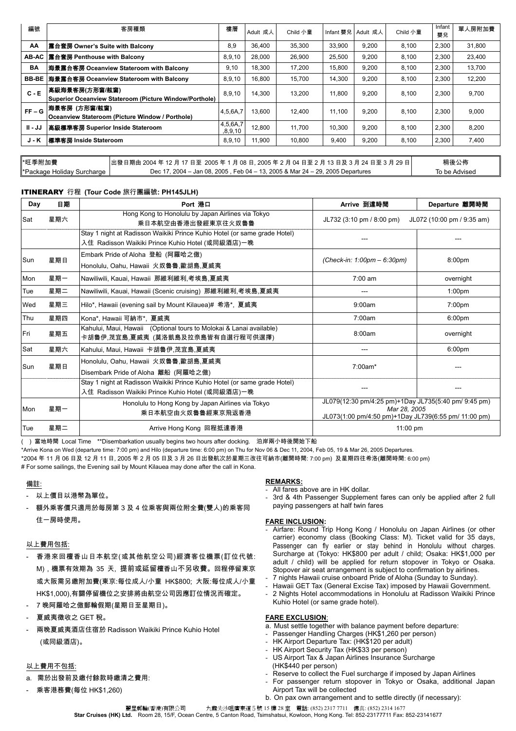| 編號                                                                                                          |                                     | 客房種類                                                   | 樓層                  | Adult 成人 | Child 小童 | Infant 嬰兒 Adult 成人 |       | Child 小童 | Infant<br>嬰兒 | 單人房附加費 |
|-------------------------------------------------------------------------------------------------------------|-------------------------------------|--------------------------------------------------------|---------------------|----------|----------|--------------------|-------|----------|--------------|--------|
| AA                                                                                                          | │露台套房 Owner's Suite with Balcony    |                                                        | 8,9                 | 36,400   | 35,300   | 33,900             | 9,200 | 8.100    | 2,300        | 31,800 |
|                                                                                                             | AB-AC   露台套房 Penthouse with Balcony |                                                        | 8,9,10              | 28,000   | 26,900   | 25,500             | 9,200 | 8,100    | 2,300        | 23,400 |
| BA                                                                                                          |                                     | 南景露台客房 Oceanview Stateroom with Balcony                | 9,10                | 18,300   | 17,200   | 15,800             | 9,200 | 8.100    | 2,300        | 13,700 |
| <b>BB-BE</b>                                                                                                |                                     | 海景露台客房 Oceanview Stateroom with Balcony                | 8,9,10              | 16,800   | 15,700   | 14,300             | 9,200 | 8,100    | 2,300        | 12,200 |
| $C - E$                                                                                                     | 高級海景客房(方形窗/舷窗)                      | Superior Oceanview Stateroom (Picture Window/Porthole) | 8,9,10              | 14,300   | 13,200   | 11,800             | 9,200 | 8,100    | 2,300        | 9,700  |
| $FF - G$                                                                                                    | 南景客房 (方形窗/舷窗)                       | Oceanview Stateroom (Picture Window / Porthole)        | 4,5,6A,7            | 13,600   | 12,400   | 11,100             | 9,200 | 8.100    | 2,300        | 9,000  |
| II - JJ                                                                                                     | 高級標準客房 Superior Inside Stateroom    |                                                        | 4,5,6A,7<br>,8,9,10 | 12,800   | 11.700   | 10,300             | 9,200 | 8.100    | 2,300        | 8,200  |
| J - K                                                                                                       | <b>標準客房 Inside Stateroom</b>        |                                                        | 8,9,10              | 11,900   | 10,800   | 9,400              | 9,200 | 8,100    | 2,300        | 7,400  |
|                                                                                                             |                                     |                                                        |                     |          |          |                    |       |          |              |        |
| *旺季附加費<br>┃出發日期由 2004 年 12 月 17 日至 2005 年 1 月 08 日, 2005 年 2 月 04 日至 2 月 13 日及 3 月 24 日至 3 月 29 日           |                                     |                                                        |                     |          |          | 稍後公佈               |       |          |              |        |
| Dec 17, 2004 - Jan 08, 2005, Feb 04 - 13, 2005 & Mar 24 - 29, 2005 Departures<br>*Package Holiday Surcharge |                                     |                                                        |                     |          |          | To be Advised      |       |          |              |        |

#### ITINERARY 行程 **(Tour Code** 旅行團編號**: PH145JLH)**

| Day   | 日期  | Port 港口                                                                                                                       | Arrive 到達時間                                                                                                                  | Departure 離開時間     |
|-------|-----|-------------------------------------------------------------------------------------------------------------------------------|------------------------------------------------------------------------------------------------------------------------------|--------------------|
| Sat   | 星期六 | Hong Kong to Honolulu by Japan Airlines via Tokyo<br>乘日本航空由香港出發經東京往火奴魯魯                                                       | JL732 (3:10 pm / 8:00 pm)<br>JL072 (10:00 pm / 9:35 am)                                                                      |                    |
|       |     | Stay 1 night at Radisson Waikiki Prince Kuhio Hotel (or same grade Hotel)<br>入住 Radisson Waikiki Prince Kuhio Hotel (或同級酒店)一晚 |                                                                                                                              |                    |
| Sun   | 星期日 | Embark Pride of Aloha 登船 (阿羅哈之傲)<br>Honolulu, Oahu, Hawaii 火奴魯魯,歐胡島,夏威夷                                                       | (Check-in: 1:00pm - 6:30pm)                                                                                                  | 8:00pm             |
| Mon   | 星期一 | Nawiliwili, Kauai, Hawaii 那維利維利,考埃島,夏威夷                                                                                       | $7:00$ am                                                                                                                    | overnight          |
| Tue   | 星期二 | Nawiliwili, Kauai, Hawaii (Scenic cruising) 那維利維利,考埃島,夏威夷                                                                     |                                                                                                                              | 1:00 <sub>pm</sub> |
| Wed   | 星期三 | Hilo*, Hawaii (evening sail by Mount Kilauea)# 希洛*, 夏威夷                                                                       | 9:00am                                                                                                                       | 7:00 <sub>pm</sub> |
| Thu   | 星期四 | Kona*, Hawaii 可納市*, 夏威夷                                                                                                       | 7:00am                                                                                                                       | 6:00 <sub>pm</sub> |
| l Fri | 星期五 | Kahului, Maui, Hawaii (Optional tours to Molokai & Lanai available)<br>卡胡魯伊,茂宜島,夏威夷 (莫洛凱島及拉奈島皆有自選行程可供選擇)                      | 8:00am                                                                                                                       | overnight          |
| Sat   | 星期六 | Kahului, Maui, Hawaii 卡胡魯伊,茂宜島,夏威夷                                                                                            |                                                                                                                              | 6:00pm             |
| Sun   | 星期日 | Honolulu, Oahu, Hawaii 火奴魯魯,歐胡島,夏威夷<br>Disembark Pride of Aloha 離船 (阿羅哈之傲)                                                    | $7:00am*$                                                                                                                    |                    |
|       |     | Stay 1 night at Radisson Waikiki Prince Kuhio Hotel (or same grade Hotel)<br>入住 Radisson Waikiki Prince Kuhio Hotel (或同級酒店)一晚 |                                                                                                                              |                    |
| Mon   | 星期一 | Honolulu to Hong Kong by Japan Airlines via Tokyo<br>乘日本航空由火奴魯魯經東京飛返香港                                                        | JL079(12:30 pm/4:25 pm)+1Day JL735(5:40 pm/ 9:45 pm)<br>Mar 28, 2005<br>JL073(1:00 pm/4:50 pm)+1Day JL739(6:55 pm/ 11:00 pm) |                    |
| Tue   | 星期二 | Arrive Hong Kong 回程抵達香港                                                                                                       | 11:00 pm                                                                                                                     |                    |

( ) 當地時間 Local Time \*\*Disembarkation usually begins two hours after docking. 泊岸兩小時後開始下船

\*Arrive Kona on Wed (departure time: 7:00 pm) and Hilo (departure time: 6:00 pm) on Thu for Nov 06 & Dec 11, 2004, Feb 05, 19 & Mar 26, 2005 Departures.

\*2004 年 11 月 06 日及 12 月 11 日, 2005 年 2 月 05 日及 3 月 26 日出發航次於星期三改往可納市(離開時間: 7:00 pm) 及星期四往希洛(離開時間: 6:00 pm)

# For some sailings, the Evening sail by Mount Kilauea may done after the call in Kona.

#### 備註:

- 以上價目以港幣為單位。
- 額外乘客價只適用於每房第 3 及 4 位乘客與兩位附全費(雙人)的乘客同 住一房時使用。

#### 以上費用包括:

- 香港來回檀香山日本航空(或其他航空公司)經濟客位機票(訂位代號: M),機票有效期為 35 天, 提前或延留檀香山不另收費。回程停留東京 或大阪需另繳附加費(東京:每位成人/小童 HK\$800; 大阪:每位成人/小童 HK\$1,000),有關停留機位之安排將由航空公司因應訂位情況而確定。
- 7 晚阿羅哈之傲郵輪假期(星期日至星期日)。
- 夏威夷徵收之 GET 稅。
- 兩晚夏威夷酒店住宿於 Radisson Waikiki Prince Kuhio Hotel (或同級酒店)。

#### 以上費用不包括:

- 需於出發前及繳付餘款時繳清之費用:
- 乘客港務費(每位 HK\$1,260)

#### **REMARKS:**

- All fares above are in HK dollar.
- 3rd & 4th Passenger Supplement fares can only be applied after 2 full paying passengers at half twin fares

#### **FARE INCLUSION:**

- Airfare: Round Trip Hong Kong / Honolulu on Japan Airlines (or other carrier) economy class (Booking Class: M). Ticket valid for 35 days, Passenger can fly earlier or stay behind in Honolulu without charges. Surcharge at (Tokyo: HK\$800 per adult / child; Osaka: HK\$1,000 per adult / child) will be applied for return stopover in Tokyo or Osaka. Stopover air seat arrangement is subject to confirmation by airlines. 7 nights Hawaii cruise onboard Pride of Aloha (Sunday to Sunday).
- Hawaii GET Tax (General Excise Tax) imposed by Hawaii Government.
- 2 Nights Hotel accommodations in Honolulu at Radisson Waikiki Prince Kuhio Hotel (or same grade hotel).

#### **FARE EXCLUSION**:

- a. Must settle together with balance payment before departure:
- Passenger Handling Charges (HK\$1,260 per person)
- HK Airport Departure Tax: (HK\$120 per adult)
- HK Airport Security Tax (HK\$33 per person)
- US Airport Tax & Japan Airlines Insurance Surcharge (HK\$440 per person)
- Reserve to collect the Fuel surcharge if imposed by Japan Airlines
- For passenger return stopover in Tokyo or Osaka, additional Japan Airport Tax will be collected
- b. On pax own arrangement and to settle directly (if necessary):